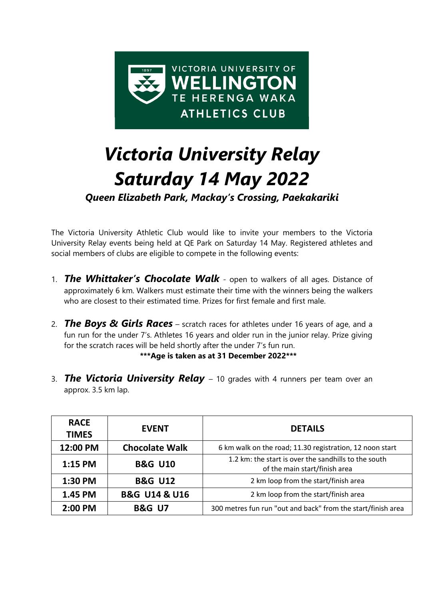

# *Victoria University Relay Saturday 14 May 2022*

*Queen Elizabeth Park, Mackay's Crossing, Paekakariki*

The Victoria University Athletic Club would like to invite your members to the Victoria University Relay events being held at QE Park on Saturday 14 May. Registered athletes and social members of clubs are eligible to compete in the following events:

- 1. *The Whittaker's Chocolate Walk* open to walkers of all ages. Distance of approximately 6 km. Walkers must estimate their time with the winners being the walkers who are closest to their estimated time. Prizes for first female and first male.
- 2. *The Boys & Girls Races* scratch races for athletes under 16 years of age, and a fun run for the under 7's. Athletes 16 years and older run in the junior relay. Prize giving for the scratch races will be held shortly after the under 7's fun run.

#### **\*\*\*Age is taken as at 31 December 2022\*\*\***

3. *The Victoria University Relay* – 10 grades with 4 runners per team over an approx. 3.5 km lap.

| <b>RACE</b><br><b>TIMES</b> | <b>EVENT</b>                 | <b>DETAILS</b>                                                                        |
|-----------------------------|------------------------------|---------------------------------------------------------------------------------------|
| 12:00 PM                    | <b>Chocolate Walk</b>        | 6 km walk on the road; 11.30 registration, 12 noon start                              |
| $1:15$ PM                   | <b>B&amp;G U10</b>           | 1.2 km: the start is over the sandhills to the south<br>of the main start/finish area |
| 1:30 PM                     | <b>B&amp;G U12</b>           | 2 km loop from the start/finish area                                                  |
| 1.45 PM                     | <b>B&amp;G U14 &amp; U16</b> | 2 km loop from the start/finish area                                                  |
| 2:00 PM                     | <b>B&amp;G U7</b>            | 300 metres fun run "out and back" from the start/finish area                          |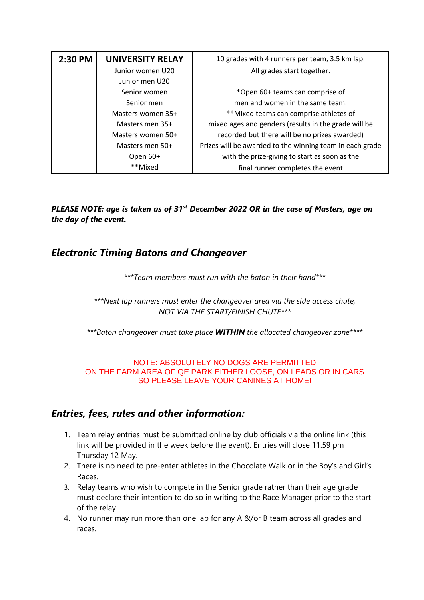| 2:30 PM | <b>UNIVERSITY RELAY</b> | 10 grades with 4 runners per team, 3.5 km lap.           |
|---------|-------------------------|----------------------------------------------------------|
|         | Junior women U20        | All grades start together.                               |
|         | Junior men U20          |                                                          |
|         | Senior women            | *Open 60+ teams can comprise of                          |
|         | Senior men              | men and women in the same team.                          |
|         | Masters women 35+       | **Mixed teams can comprise athletes of                   |
|         | Masters men 35+         | mixed ages and genders (results in the grade will be     |
|         | Masters women 50+       | recorded but there will be no prizes awarded)            |
|         | Masters men 50+         | Prizes will be awarded to the winning team in each grade |
|         | Open 60+                | with the prize-giving to start as soon as the            |
|         | **Mixed                 | final runner completes the event                         |

*PLEASE NOTE: age is taken as of 31st December 2022 OR in the case of Masters, age on the day of the event.*

### *Electronic Timing Batons and Changeover*

*\*\*\*Team members must run with the baton in their hand\*\*\**

*\*\*\*Next lap runners must enter the changeover area via the side access chute, NOT VIA THE START/FINISH CHUTE\*\*\**

*\*\*\*Baton changeover must take place WITHIN the allocated changeover zone\*\*\*\**

#### NOTE: ABSOLUTELY NO DOGS ARE PERMITTED ON THE FARM AREA OF QE PARK EITHER LOOSE, ON LEADS OR IN CARS SO PLEASE LEAVE YOUR CANINES AT HOME!

## *Entries, fees, rules and other information:*

- 1. Team relay entries must be submitted online by club officials via the online link (this link will be provided in the week before the event). Entries will close 11.59 pm Thursday 12 May.
- 2. There is no need to pre-enter athletes in the Chocolate Walk or in the Boy's and Girl's Races.
- 3. Relay teams who wish to compete in the Senior grade rather than their age grade must declare their intention to do so in writing to the Race Manager prior to the start of the relay
- 4. No runner may run more than one lap for any A &/or B team across all grades and races.